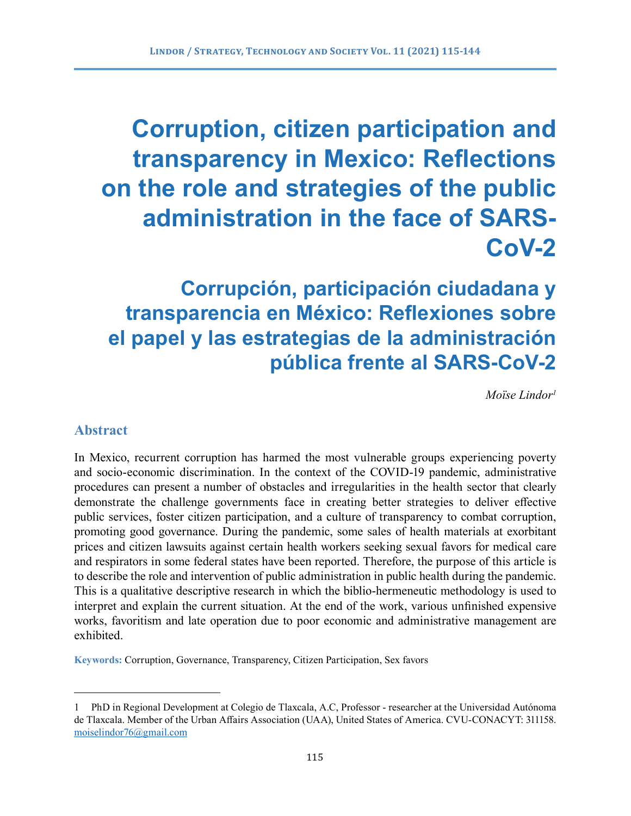# **Corruption, citizen participation and transparency in Mexico: Reflections on the role and strategies of the public administration in the face of SARS-CoV-2**

## **Corrupción, participación ciudadana y transparencia en México: Reflexiones sobre el papel y las estrategias de la administración pública frente al SARS-CoV-2**

*Moïse Lindor1*

## **Abstract**

In Mexico, recurrent corruption has harmed the most vulnerable groups experiencing poverty and socio-economic discrimination. In the context of the COVID-19 pandemic, administrative procedures can present a number of obstacles and irregularities in the health sector that clearly demonstrate the challenge governments face in creating better strategies to deliver effective public services, foster citizen participation, and a culture of transparency to combat corruption, promoting good governance. During the pandemic, some sales of health materials at exorbitant prices and citizen lawsuits against certain health workers seeking sexual favors for medical care and respirators in some federal states have been reported. Therefore, the purpose of this article is to describe the role and intervention of public administration in public health during the pandemic. This is a qualitative descriptive research in which the biblio-hermeneutic methodology is used to interpret and explain the current situation. At the end of the work, various unfinished expensive works, favoritism and late operation due to poor economic and administrative management are exhibited.

**Keywords:** Corruption, Governance, Transparency, Citizen Participation, Sex favors

<sup>1</sup> PhD in Regional Development at Colegio de Tlaxcala, A.C, Professor - researcher at the Universidad Autónoma de Tlaxcala. Member of the Urban Affairs Association (UAA), United States of America. CVU-CONACYT: 311158. [moiselindor76@gmail.com](mailto:moiselindor76@gmail.com)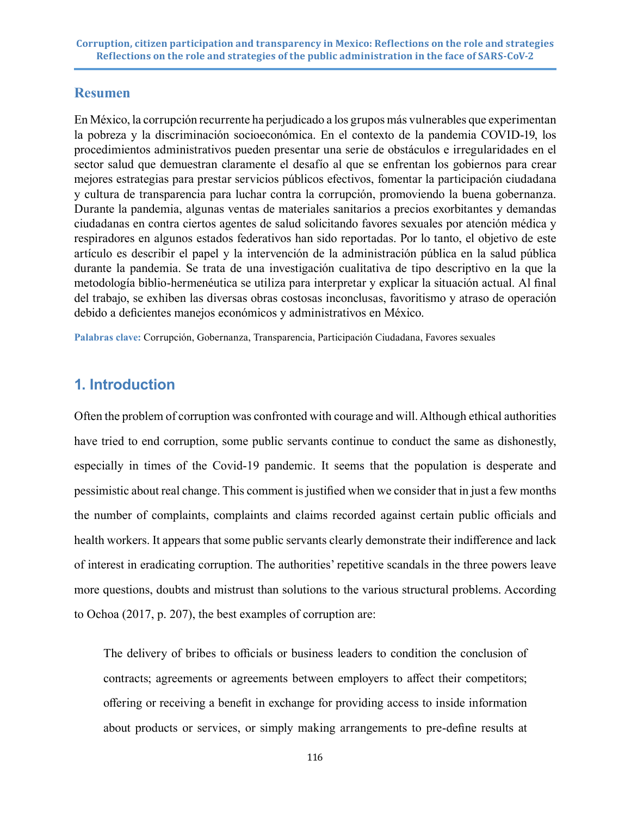## **Resumen**

En México, la corrupción recurrente ha perjudicado a los grupos más vulnerables que experimentan la pobreza y la discriminación socioeconómica. En el contexto de la pandemia COVID-19, los procedimientos administrativos pueden presentar una serie de obstáculos e irregularidades en el sector salud que demuestran claramente el desafío al que se enfrentan los gobiernos para crear mejores estrategias para prestar servicios públicos efectivos, fomentar la participación ciudadana y cultura de transparencia para luchar contra la corrupción, promoviendo la buena gobernanza. Durante la pandemia, algunas ventas de materiales sanitarios a precios exorbitantes y demandas ciudadanas en contra ciertos agentes de salud solicitando favores sexuales por atención médica y respiradores en algunos estados federativos han sido reportadas. Por lo tanto, el objetivo de este artículo es describir el papel y la intervención de la administración pública en la salud pública durante la pandemia. Se trata de una investigación cualitativa de tipo descriptivo en la que la metodología biblio-hermenéutica se utiliza para interpretar y explicar la situación actual. Al final del trabajo, se exhiben las diversas obras costosas inconclusas, favoritismo y atraso de operación debido a deficientes manejos económicos y administrativos en México.

**Palabras clave:** Corrupción, Gobernanza, Transparencia, Participación Ciudadana, Favores sexuales

## **1. Introduction**

Often the problem of corruption was confronted with courage and will. Although ethical authorities have tried to end corruption, some public servants continue to conduct the same as dishonestly, especially in times of the Covid-19 pandemic. It seems that the population is desperate and pessimistic about real change. This comment is justified when we consider that in just a few months the number of complaints, complaints and claims recorded against certain public officials and health workers. It appears that some public servants clearly demonstrate their indifference and lack of interest in eradicating corruption. The authorities' repetitive scandals in the three powers leave more questions, doubts and mistrust than solutions to the various structural problems. According to Ochoa (2017, p. 207), the best examples of corruption are:

The delivery of bribes to officials or business leaders to condition the conclusion of contracts; agreements or agreements between employers to affect their competitors; offering or receiving a benefit in exchange for providing access to inside information about products or services, or simply making arrangements to pre-define results at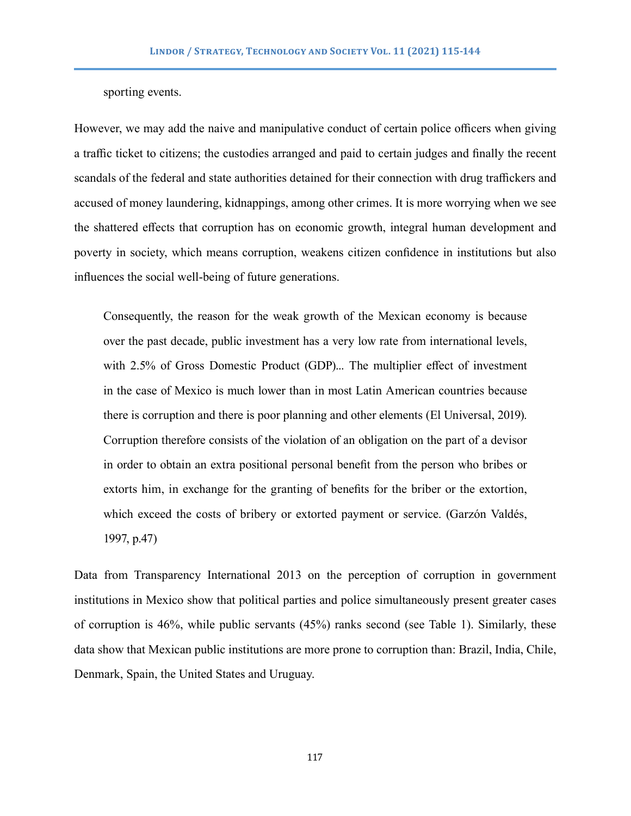sporting events.

However, we may add the naive and manipulative conduct of certain police officers when giving a traffic ticket to citizens; the custodies arranged and paid to certain judges and finally the recent scandals of the federal and state authorities detained for their connection with drug traffickers and accused of money laundering, kidnappings, among other crimes. It is more worrying when we see the shattered effects that corruption has on economic growth, integral human development and poverty in society, which means corruption, weakens citizen confidence in institutions but also influences the social well-being of future generations.

Consequently, the reason for the weak growth of the Mexican economy is because over the past decade, public investment has a very low rate from international levels, with 2.5% of Gross Domestic Product (GDP)... The multiplier effect of investment in the case of Mexico is much lower than in most Latin American countries because there is corruption and there is poor planning and other elements (El Universal, 2019). Corruption therefore consists of the violation of an obligation on the part of a devisor in order to obtain an extra positional personal benefit from the person who bribes or extorts him, in exchange for the granting of benefits for the briber or the extortion, which exceed the costs of bribery or extorted payment or service. (Garzón Valdés, 1997, p.47)

Data from Transparency International 2013 on the perception of corruption in government institutions in Mexico show that political parties and police simultaneously present greater cases of corruption is 46%, while public servants (45%) ranks second (see Table 1). Similarly, these data show that Mexican public institutions are more prone to corruption than: Brazil, India, Chile, Denmark, Spain, the United States and Uruguay.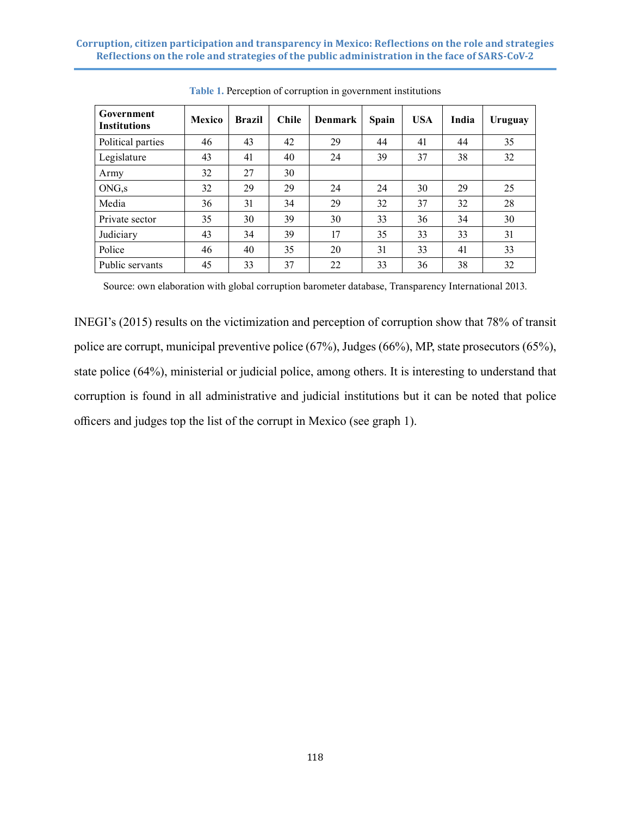| Government<br><b>Institutions</b> | <b>Mexico</b> | <b>Brazil</b> | <b>Chile</b> | <b>Denmark</b> | Spain | <b>USA</b> | India | Uruguay |
|-----------------------------------|---------------|---------------|--------------|----------------|-------|------------|-------|---------|
| Political parties                 | 46            | 43            | 42           | 29             | 44    | 41         | 44    | 35      |
| Legislature                       | 43            | 41            | 40           | 24             | 39    | 37         | 38    | 32      |
| Army                              | 32            | 27            | 30           |                |       |            |       |         |
| ONG, s                            | 32            | 29            | 29           | 24             | 24    | 30         | 29    | 25      |
| Media                             | 36            | 31            | 34           | 29             | 32    | 37         | 32    | 28      |
| Private sector                    | 35            | 30            | 39           | 30             | 33    | 36         | 34    | 30      |
| Judiciary                         | 43            | 34            | 39           | 17             | 35    | 33         | 33    | 31      |
| Police                            | 46            | 40            | 35           | 20             | 31    | 33         | 41    | 33      |
| Public servants                   | 45            | 33            | 37           | 22             | 33    | 36         | 38    | 32      |

**Table 1.** Perception of corruption in government institutions

Source: own elaboration with global corruption barometer database, Transparency International 2013.

INEGI's (2015) results on the victimization and perception of corruption show that 78% of transit police are corrupt, municipal preventive police (67%), Judges (66%), MP, state prosecutors (65%), state police (64%), ministerial or judicial police, among others. It is interesting to understand that corruption is found in all administrative and judicial institutions but it can be noted that police officers and judges top the list of the corrupt in Mexico (see graph 1).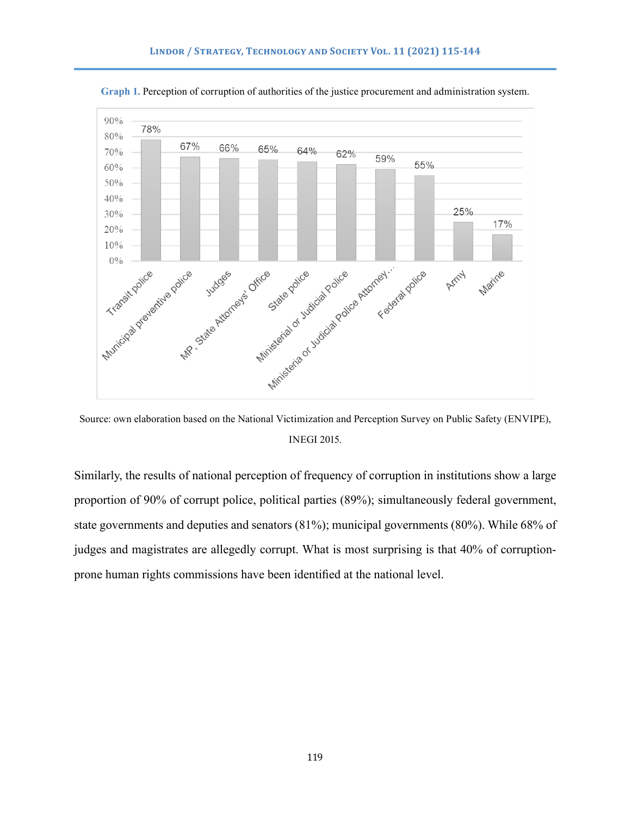

**Graph 1.** Perception of corruption of authorities of the justice procurement and administration system.

Source: own elaboration based on the National Victimization and Perception Survey on Public Safety (ENVIPE), INEGI 2015.

Similarly, the results of national perception of frequency of corruption in institutions show a large proportion of 90% of corrupt police, political parties (89%); simultaneously federal government, state governments and deputies and senators (81%); municipal governments (80%). While 68% of judges and magistrates are allegedly corrupt. What is most surprising is that 40% of corruptionprone human rights commissions have been identified at the national level.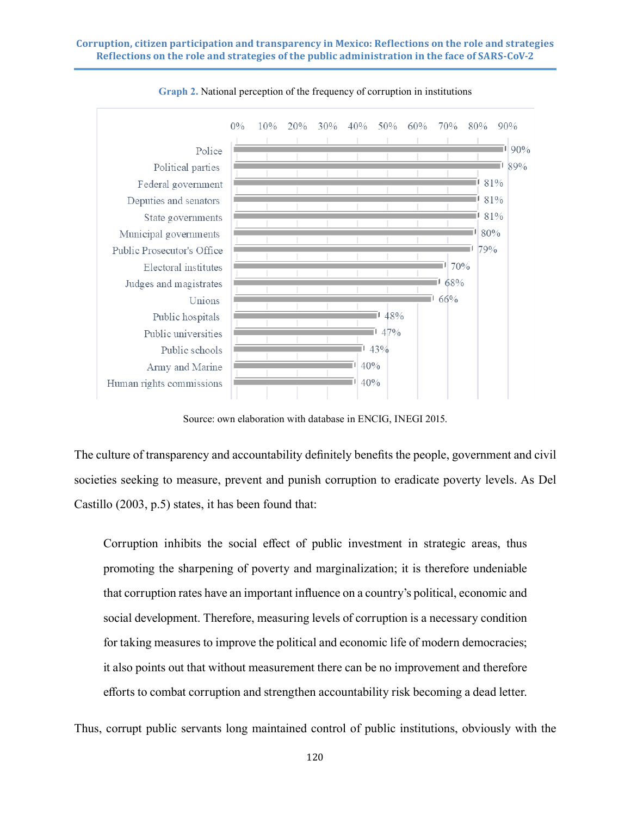

**Graph 2.** National perception of the frequency of corruption in institutions

Source: own elaboration with database in ENCIG, INEGI 2015.

The culture of transparency and accountability definitely benefits the people, government and civil societies seeking to measure, prevent and punish corruption to eradicate poverty levels. As Del Castillo (2003, p.5) states, it has been found that:

Corruption inhibits the social effect of public investment in strategic areas, thus promoting the sharpening of poverty and marginalization; it is therefore undeniable that corruption rates have an important influence on a country's political, economic and social development. Therefore, measuring levels of corruption is a necessary condition for taking measures to improve the political and economic life of modern democracies; it also points out that without measurement there can be no improvement and therefore efforts to combat corruption and strengthen accountability risk becoming a dead letter.

Thus, corrupt public servants long maintained control of public institutions, obviously with the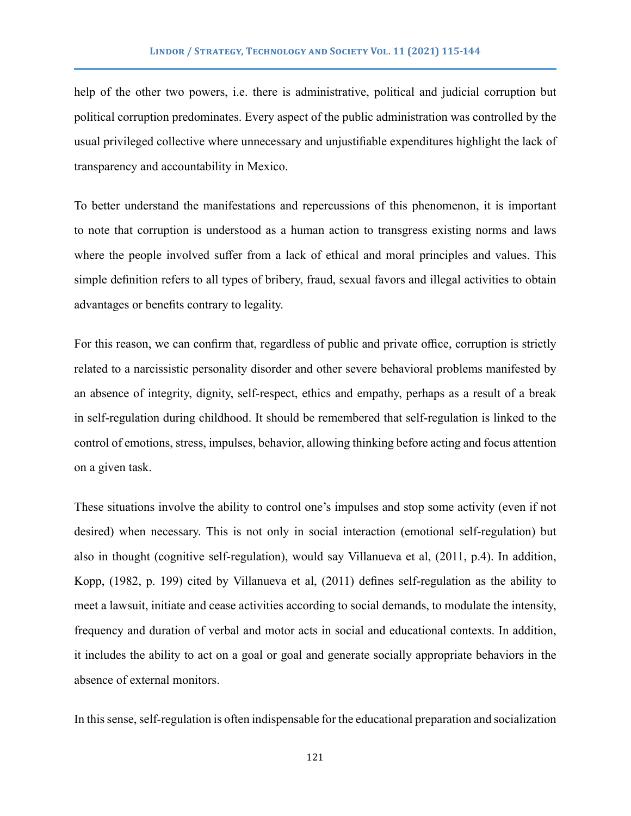help of the other two powers, i.e. there is administrative, political and judicial corruption but political corruption predominates. Every aspect of the public administration was controlled by the usual privileged collective where unnecessary and unjustifiable expenditures highlight the lack of transparency and accountability in Mexico.

To better understand the manifestations and repercussions of this phenomenon, it is important to note that corruption is understood as a human action to transgress existing norms and laws where the people involved suffer from a lack of ethical and moral principles and values. This simple definition refers to all types of bribery, fraud, sexual favors and illegal activities to obtain advantages or benefits contrary to legality.

For this reason, we can confirm that, regardless of public and private office, corruption is strictly related to a narcissistic personality disorder and other severe behavioral problems manifested by an absence of integrity, dignity, self-respect, ethics and empathy, perhaps as a result of a break in self-regulation during childhood. It should be remembered that self-regulation is linked to the control of emotions, stress, impulses, behavior, allowing thinking before acting and focus attention on a given task.

These situations involve the ability to control one's impulses and stop some activity (even if not desired) when necessary. This is not only in social interaction (emotional self-regulation) but also in thought (cognitive self-regulation), would say Villanueva et al, (2011, p.4). In addition, Kopp, (1982, p. 199) cited by Villanueva et al, (2011) defines self-regulation as the ability to meet a lawsuit, initiate and cease activities according to social demands, to modulate the intensity, frequency and duration of verbal and motor acts in social and educational contexts. In addition, it includes the ability to act on a goal or goal and generate socially appropriate behaviors in the absence of external monitors.

In this sense, self-regulation is often indispensable for the educational preparation and socialization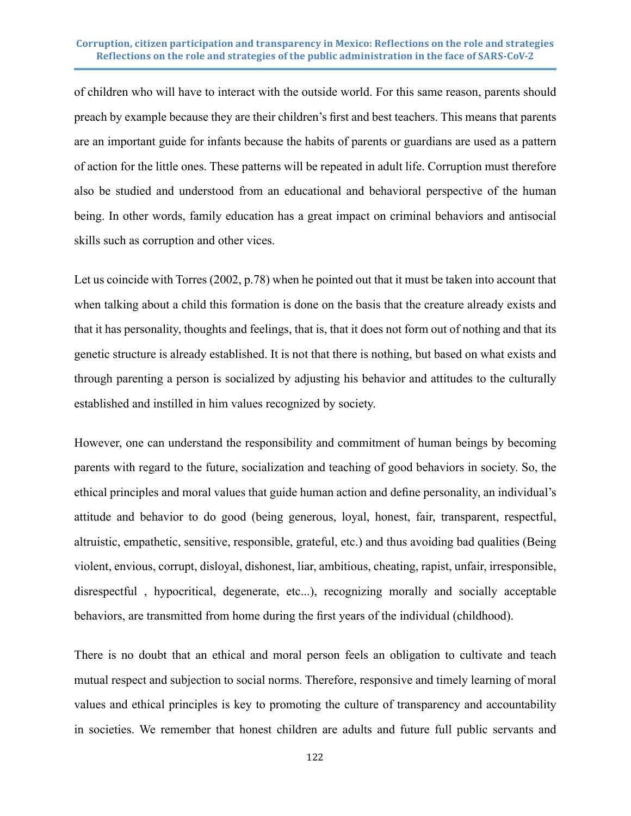of children who will have to interact with the outside world. For this same reason, parents should preach by example because they are their children's first and best teachers. This means that parents are an important guide for infants because the habits of parents or guardians are used as a pattern of action for the little ones. These patterns will be repeated in adult life. Corruption must therefore also be studied and understood from an educational and behavioral perspective of the human being. In other words, family education has a great impact on criminal behaviors and antisocial skills such as corruption and other vices.

Let us coincide with Torres (2002, p.78) when he pointed out that it must be taken into account that when talking about a child this formation is done on the basis that the creature already exists and that it has personality, thoughts and feelings, that is, that it does not form out of nothing and that its genetic structure is already established. It is not that there is nothing, but based on what exists and through parenting a person is socialized by adjusting his behavior and attitudes to the culturally established and instilled in him values recognized by society.

However, one can understand the responsibility and commitment of human beings by becoming parents with regard to the future, socialization and teaching of good behaviors in society. So, the ethical principles and moral values that guide human action and define personality, an individual's attitude and behavior to do good (being generous, loyal, honest, fair, transparent, respectful, altruistic, empathetic, sensitive, responsible, grateful, etc.) and thus avoiding bad qualities (Being violent, envious, corrupt, disloyal, dishonest, liar, ambitious, cheating, rapist, unfair, irresponsible, disrespectful , hypocritical, degenerate, etc...), recognizing morally and socially acceptable behaviors, are transmitted from home during the first years of the individual (childhood).

There is no doubt that an ethical and moral person feels an obligation to cultivate and teach mutual respect and subjection to social norms. Therefore, responsive and timely learning of moral values and ethical principles is key to promoting the culture of transparency and accountability in societies. We remember that honest children are adults and future full public servants and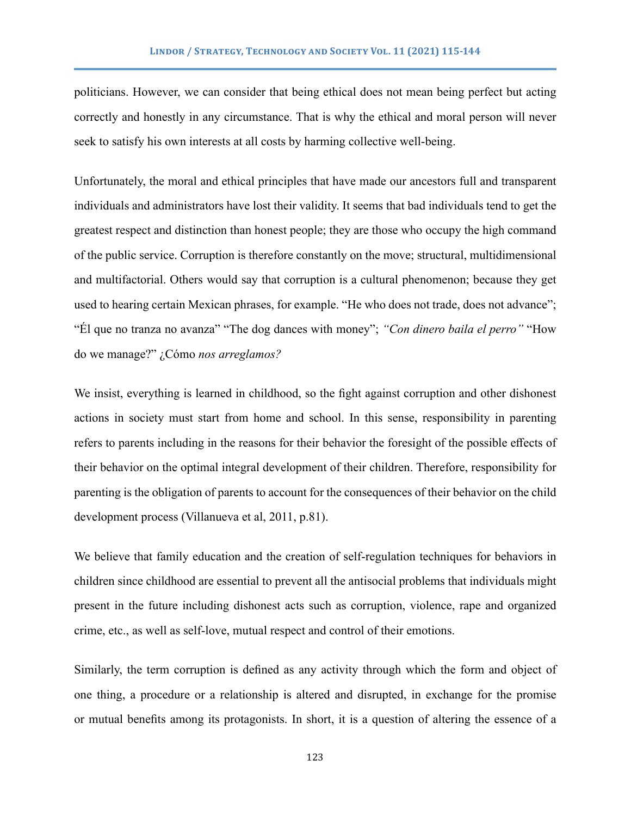politicians. However, we can consider that being ethical does not mean being perfect but acting correctly and honestly in any circumstance. That is why the ethical and moral person will never seek to satisfy his own interests at all costs by harming collective well-being.

Unfortunately, the moral and ethical principles that have made our ancestors full and transparent individuals and administrators have lost their validity. It seems that bad individuals tend to get the greatest respect and distinction than honest people; they are those who occupy the high command of the public service. Corruption is therefore constantly on the move; structural, multidimensional and multifactorial. Others would say that corruption is a cultural phenomenon; because they get used to hearing certain Mexican phrases, for example. "He who does not trade, does not advance"; "Él que no tranza no avanza" "The dog dances with money"; *"Con dinero baila el perro"* "How do we manage?" ¿Cómo *nos arreglamos?*

We insist, everything is learned in childhood, so the fight against corruption and other dishonest actions in society must start from home and school. In this sense, responsibility in parenting refers to parents including in the reasons for their behavior the foresight of the possible effects of their behavior on the optimal integral development of their children. Therefore, responsibility for parenting is the obligation of parents to account for the consequences of their behavior on the child development process (Villanueva et al, 2011, p.81).

We believe that family education and the creation of self-regulation techniques for behaviors in children since childhood are essential to prevent all the antisocial problems that individuals might present in the future including dishonest acts such as corruption, violence, rape and organized crime, etc., as well as self-love, mutual respect and control of their emotions.

Similarly, the term corruption is defined as any activity through which the form and object of one thing, a procedure or a relationship is altered and disrupted, in exchange for the promise or mutual benefits among its protagonists. In short, it is a question of altering the essence of a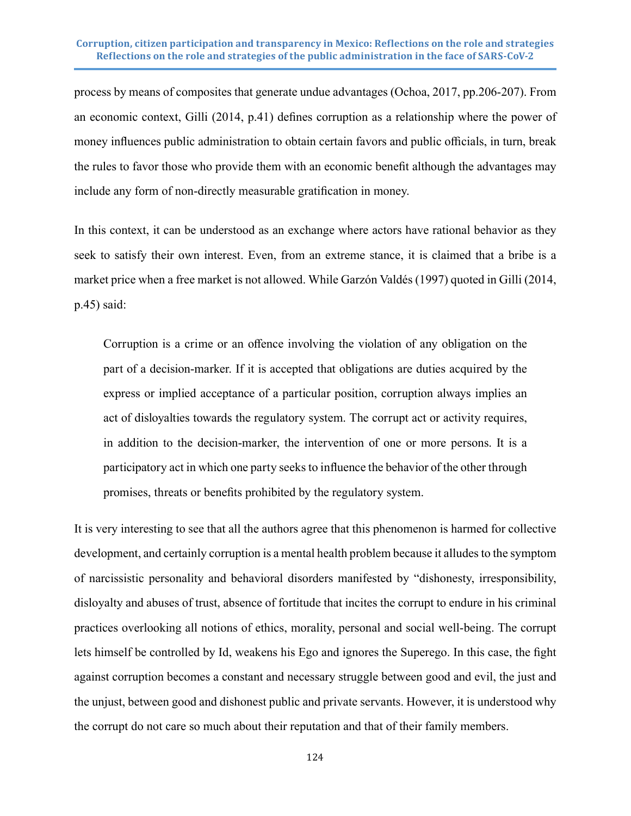process by means of composites that generate undue advantages (Ochoa, 2017, pp.206-207). From an economic context, Gilli (2014, p.41) defines corruption as a relationship where the power of money influences public administration to obtain certain favors and public officials, in turn, break the rules to favor those who provide them with an economic benefit although the advantages may include any form of non-directly measurable gratification in money.

In this context, it can be understood as an exchange where actors have rational behavior as they seek to satisfy their own interest. Even, from an extreme stance, it is claimed that a bribe is a market price when a free market is not allowed. While Garzón Valdés (1997) quoted in Gilli (2014, p.45) said:

Corruption is a crime or an offence involving the violation of any obligation on the part of a decision-marker. If it is accepted that obligations are duties acquired by the express or implied acceptance of a particular position, corruption always implies an act of disloyalties towards the regulatory system. The corrupt act or activity requires, in addition to the decision-marker, the intervention of one or more persons. It is a participatory act in which one party seeks to influence the behavior of the other through promises, threats or benefits prohibited by the regulatory system.

It is very interesting to see that all the authors agree that this phenomenon is harmed for collective development, and certainly corruption is a mental health problem because it alludes to the symptom of narcissistic personality and behavioral disorders manifested by "dishonesty, irresponsibility, disloyalty and abuses of trust, absence of fortitude that incites the corrupt to endure in his criminal practices overlooking all notions of ethics, morality, personal and social well-being. The corrupt lets himself be controlled by Id, weakens his Ego and ignores the Superego. In this case, the fight against corruption becomes a constant and necessary struggle between good and evil, the just and the unjust, between good and dishonest public and private servants. However, it is understood why the corrupt do not care so much about their reputation and that of their family members.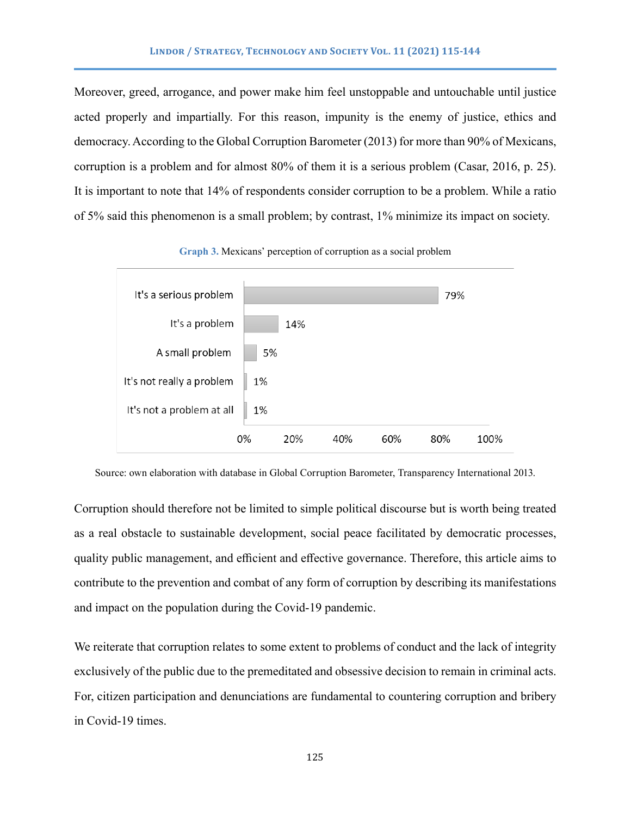Moreover, greed, arrogance, and power make him feel unstoppable and untouchable until justice acted properly and impartially. For this reason, impunity is the enemy of justice, ethics and democracy. According to the Global Corruption Barometer (2013) for more than 90% of Mexicans, corruption is a problem and for almost 80% of them it is a serious problem (Casar, 2016, p. 25). It is important to note that 14% of respondents consider corruption to be a problem. While a ratio of 5% said this phenomenon is a small problem; by contrast, 1% minimize its impact on society.



**Graph 3.** Mexicans' perception of corruption as a social problem

Source: own elaboration with database in Global Corruption Barometer, Transparency International 2013.

Corruption should therefore not be limited to simple political discourse but is worth being treated as a real obstacle to sustainable development, social peace facilitated by democratic processes, quality public management, and efficient and effective governance. Therefore, this article aims to contribute to the prevention and combat of any form of corruption by describing its manifestations and impact on the population during the Covid-19 pandemic.

We reiterate that corruption relates to some extent to problems of conduct and the lack of integrity exclusively of the public due to the premeditated and obsessive decision to remain in criminal acts. For, citizen participation and denunciations are fundamental to countering corruption and bribery in Covid-19 times.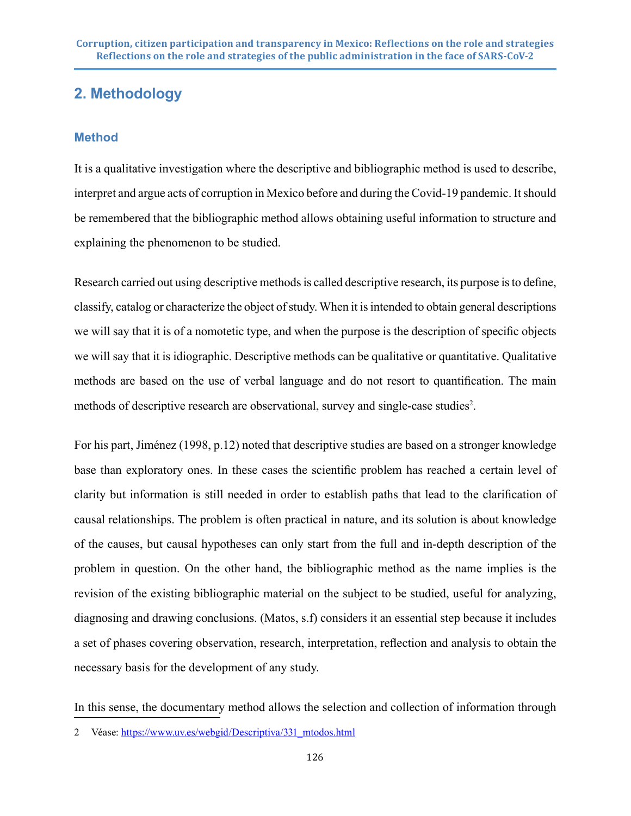## **2. Methodology**

## **Method**

It is a qualitative investigation where the descriptive and bibliographic method is used to describe, interpret and argue acts of corruption in Mexico before and during the Covid-19 pandemic. It should be remembered that the bibliographic method allows obtaining useful information to structure and explaining the phenomenon to be studied.

Research carried out using descriptive methods is called descriptive research, its purpose is to define, classify, catalog or characterize the object of study. When it is intended to obtain general descriptions we will say that it is of a nomotetic type, and when the purpose is the description of specific objects we will say that it is idiographic. Descriptive methods can be qualitative or quantitative. Qualitative methods are based on the use of verbal language and do not resort to quantification. The main methods of descriptive research are observational, survey and single-case studies<sup>2</sup>.

For his part, Jiménez (1998, p.12) noted that descriptive studies are based on a stronger knowledge base than exploratory ones. In these cases the scientific problem has reached a certain level of clarity but information is still needed in order to establish paths that lead to the clarification of causal relationships. The problem is often practical in nature, and its solution is about knowledge of the causes, but causal hypotheses can only start from the full and in-depth description of the problem in question. On the other hand, the bibliographic method as the name implies is the revision of the existing bibliographic material on the subject to be studied, useful for analyzing, diagnosing and drawing conclusions. (Matos, s.f) considers it an essential step because it includes a set of phases covering observation, research, interpretation, reflection and analysis to obtain the necessary basis for the development of any study.

In this sense, the documentary method allows the selection and collection of information through

<sup>2</sup> Véase: [https://www.uv.es/webgid/Descriptiva/331\\_mtodos.html](https://www.uv.es/webgid/Descriptiva/331_mtodos.html)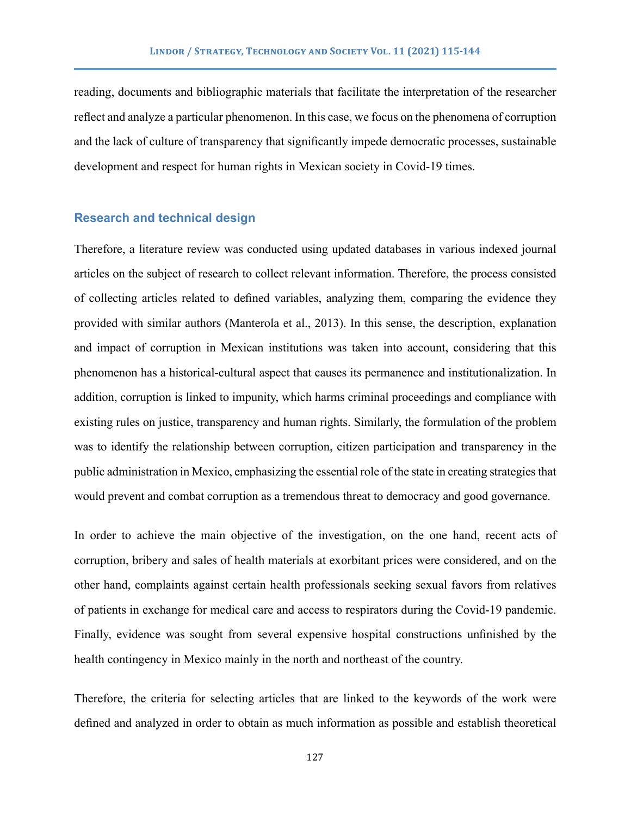reading, documents and bibliographic materials that facilitate the interpretation of the researcher reflect and analyze a particular phenomenon. In this case, we focus on the phenomena of corruption and the lack of culture of transparency that significantly impede democratic processes, sustainable development and respect for human rights in Mexican society in Covid-19 times.

## **Research and technical design**

Therefore, a literature review was conducted using updated databases in various indexed journal articles on the subject of research to collect relevant information. Therefore, the process consisted of collecting articles related to defined variables, analyzing them, comparing the evidence they provided with similar authors (Manterola et al., 2013). In this sense, the description, explanation and impact of corruption in Mexican institutions was taken into account, considering that this phenomenon has a historical-cultural aspect that causes its permanence and institutionalization. In addition, corruption is linked to impunity, which harms criminal proceedings and compliance with existing rules on justice, transparency and human rights. Similarly, the formulation of the problem was to identify the relationship between corruption, citizen participation and transparency in the public administration in Mexico, emphasizing the essential role of the state in creating strategies that would prevent and combat corruption as a tremendous threat to democracy and good governance.

In order to achieve the main objective of the investigation, on the one hand, recent acts of corruption, bribery and sales of health materials at exorbitant prices were considered, and on the other hand, complaints against certain health professionals seeking sexual favors from relatives of patients in exchange for medical care and access to respirators during the Covid-19 pandemic. Finally, evidence was sought from several expensive hospital constructions unfinished by the health contingency in Mexico mainly in the north and northeast of the country.

Therefore, the criteria for selecting articles that are linked to the keywords of the work were defined and analyzed in order to obtain as much information as possible and establish theoretical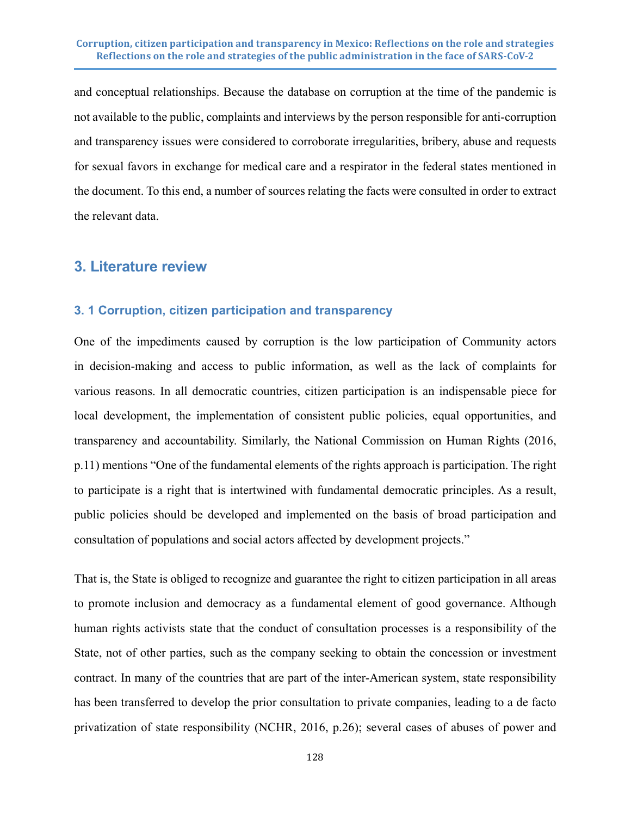and conceptual relationships. Because the database on corruption at the time of the pandemic is not available to the public, complaints and interviews by the person responsible for anti-corruption and transparency issues were considered to corroborate irregularities, bribery, abuse and requests for sexual favors in exchange for medical care and a respirator in the federal states mentioned in the document. To this end, a number of sources relating the facts were consulted in order to extract the relevant data.

## **3. Literature review**

#### **3. 1 Corruption, citizen participation and transparency**

One of the impediments caused by corruption is the low participation of Community actors in decision-making and access to public information, as well as the lack of complaints for various reasons. In all democratic countries, citizen participation is an indispensable piece for local development, the implementation of consistent public policies, equal opportunities, and transparency and accountability. Similarly, the National Commission on Human Rights (2016, p.11) mentions "One of the fundamental elements of the rights approach is participation. The right to participate is a right that is intertwined with fundamental democratic principles. As a result, public policies should be developed and implemented on the basis of broad participation and consultation of populations and social actors affected by development projects."

That is, the State is obliged to recognize and guarantee the right to citizen participation in all areas to promote inclusion and democracy as a fundamental element of good governance. Although human rights activists state that the conduct of consultation processes is a responsibility of the State, not of other parties, such as the company seeking to obtain the concession or investment contract. In many of the countries that are part of the inter-American system, state responsibility has been transferred to develop the prior consultation to private companies, leading to a de facto privatization of state responsibility (NCHR, 2016, p.26); several cases of abuses of power and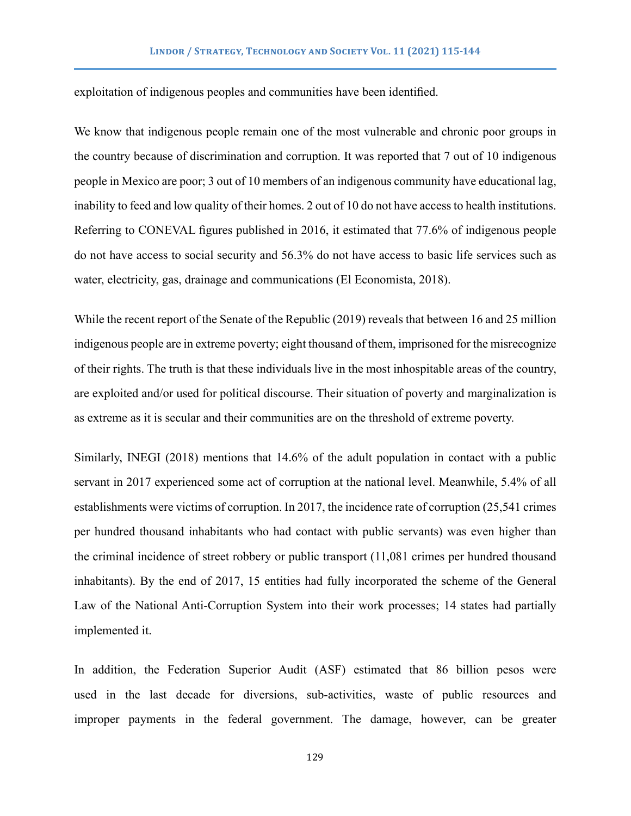exploitation of indigenous peoples and communities have been identified.

We know that indigenous people remain one of the most vulnerable and chronic poor groups in the country because of discrimination and corruption. It was reported that 7 out of 10 indigenous people in Mexico are poor; 3 out of 10 members of an indigenous community have educational lag, inability to feed and low quality of their homes. 2 out of 10 do not have access to health institutions. Referring to CONEVAL figures published in 2016, it estimated that 77.6% of indigenous people do not have access to social security and 56.3% do not have access to basic life services such as water, electricity, gas, drainage and communications (El Economista, 2018).

While the recent report of the Senate of the Republic (2019) reveals that between 16 and 25 million indigenous people are in extreme poverty; eight thousand of them, imprisoned for the misrecognize of their rights. The truth is that these individuals live in the most inhospitable areas of the country, are exploited and/or used for political discourse. Their situation of poverty and marginalization is as extreme as it is secular and their communities are on the threshold of extreme poverty.

Similarly, INEGI (2018) mentions that 14.6% of the adult population in contact with a public servant in 2017 experienced some act of corruption at the national level. Meanwhile, 5.4% of all establishments were victims of corruption. In 2017, the incidence rate of corruption (25,541 crimes per hundred thousand inhabitants who had contact with public servants) was even higher than the criminal incidence of street robbery or public transport (11,081 crimes per hundred thousand inhabitants). By the end of 2017, 15 entities had fully incorporated the scheme of the General Law of the National Anti-Corruption System into their work processes; 14 states had partially implemented it.

In addition, the Federation Superior Audit (ASF) estimated that 86 billion pesos were used in the last decade for diversions, sub-activities, waste of public resources and improper payments in the federal government. The damage, however, can be greater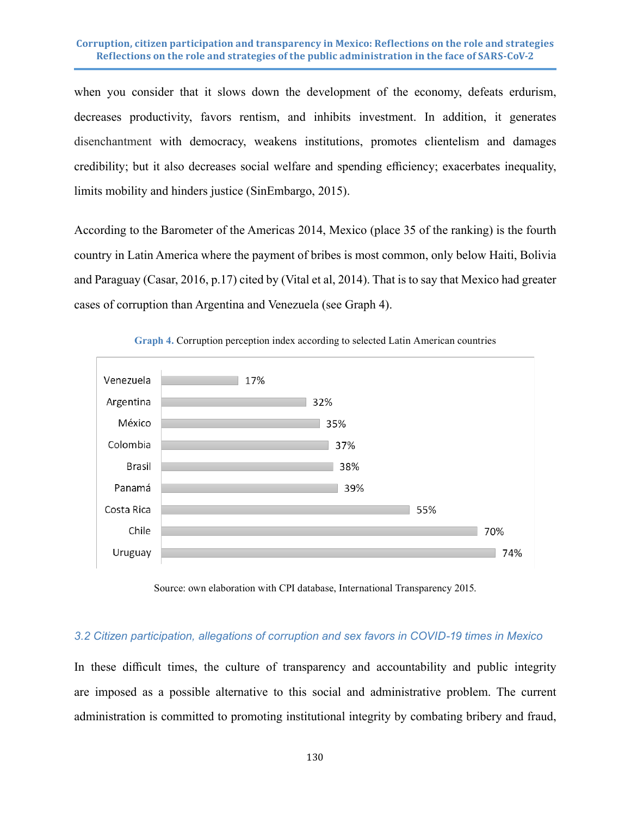when you consider that it slows down the development of the economy, defeats erdurism, decreases productivity, favors rentism, and inhibits investment. In addition, it generates disenchantment with democracy, weakens institutions, promotes clientelism and damages credibility; but it also decreases social welfare and spending efficiency; exacerbates inequality, limits mobility and hinders justice (SinEmbargo, 2015).

According to the Barometer of the Americas 2014, Mexico (place 35 of the ranking) is the fourth country in Latin America where the payment of bribes is most common, only below Haiti, Bolivia and Paraguay (Casar, 2016, p.17) cited by (Vital et al, 2014). That is to say that Mexico had greater cases of corruption than Argentina and Venezuela (see Graph 4).





Source: own elaboration with CPI database, International Transparency 2015.

#### *3.2 Citizen participation, allegations of corruption and sex favors in COVID-19 times in Mexico*

In these difficult times, the culture of transparency and accountability and public integrity are imposed as a possible alternative to this social and administrative problem. The current administration is committed to promoting institutional integrity by combating bribery and fraud,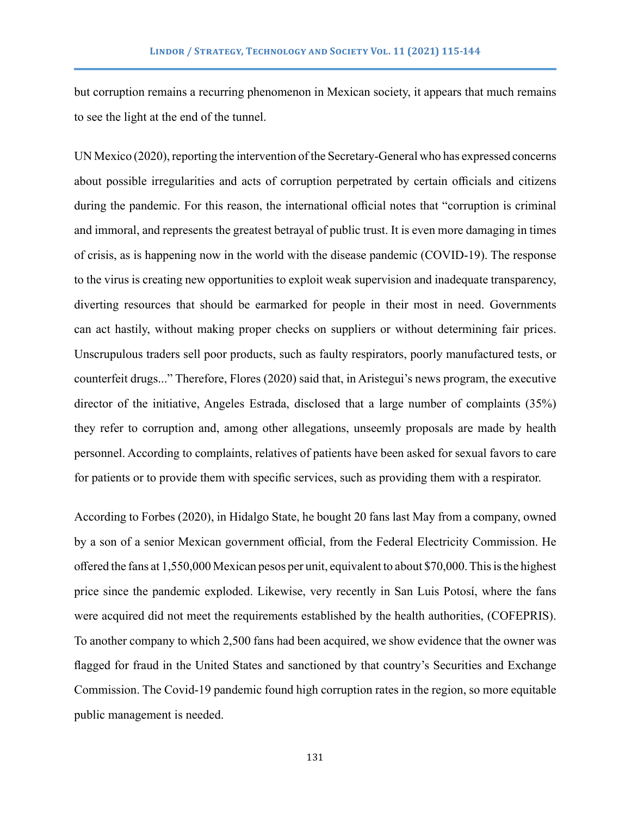but corruption remains a recurring phenomenon in Mexican society, it appears that much remains to see the light at the end of the tunnel.

UN Mexico (2020), reporting the intervention of the Secretary-General who has expressed concerns about possible irregularities and acts of corruption perpetrated by certain officials and citizens during the pandemic. For this reason, the international official notes that "corruption is criminal and immoral, and represents the greatest betrayal of public trust. It is even more damaging in times of crisis, as is happening now in the world with the disease pandemic (COVID-19). The response to the virus is creating new opportunities to exploit weak supervision and inadequate transparency, diverting resources that should be earmarked for people in their most in need. Governments can act hastily, without making proper checks on suppliers or without determining fair prices. Unscrupulous traders sell poor products, such as faulty respirators, poorly manufactured tests, or counterfeit drugs..." Therefore, Flores (2020) said that, in Aristegui's news program, the executive director of the initiative, Angeles Estrada, disclosed that a large number of complaints (35%) they refer to corruption and, among other allegations, unseemly proposals are made by health personnel. According to complaints, relatives of patients have been asked for sexual favors to care for patients or to provide them with specific services, such as providing them with a respirator.

According to Forbes (2020), in Hidalgo State, he bought 20 fans last May from a company, owned by a son of a senior Mexican government official, from the Federal Electricity Commission. He offered the fans at 1,550,000 Mexican pesos per unit, equivalent to about \$70,000. This is the highest price since the pandemic exploded. Likewise, very recently in San Luis Potosí, where the fans were acquired did not meet the requirements established by the health authorities, (COFEPRIS). To another company to which 2,500 fans had been acquired, we show evidence that the owner was flagged for fraud in the United States and sanctioned by that country's Securities and Exchange Commission. The Covid-19 pandemic found high corruption rates in the region, so more equitable public management is needed.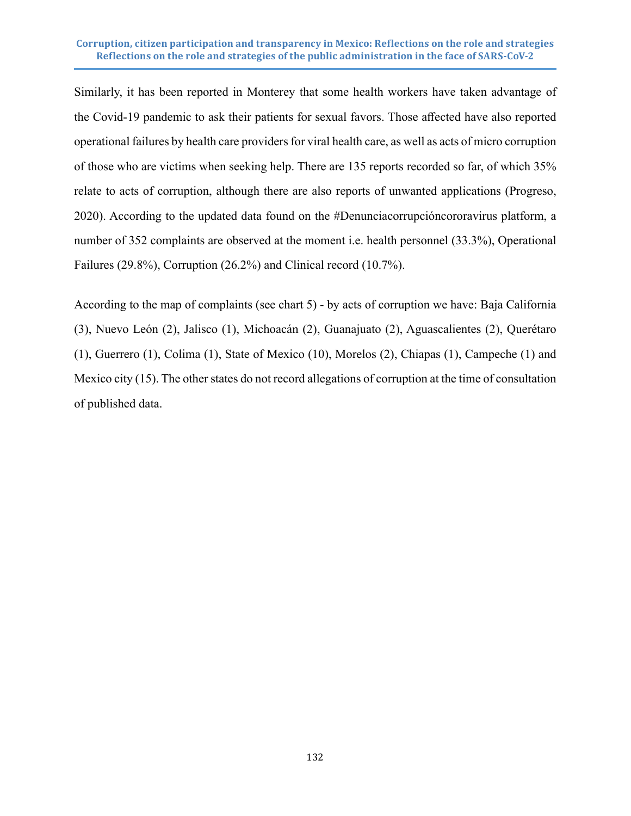Similarly, it has been reported in Monterey that some health workers have taken advantage of the Covid-19 pandemic to ask their patients for sexual favors. Those affected have also reported operational failures by health care providers for viral health care, as well as acts of micro corruption of those who are victims when seeking help. There are 135 reports recorded so far, of which 35% relate to acts of corruption, although there are also reports of unwanted applications (Progreso, 2020). According to the updated data found on the #Denunciacorrupcióncororavirus platform, a number of 352 complaints are observed at the moment i.e. health personnel (33.3%), Operational Failures (29.8%), Corruption (26.2%) and Clinical record (10.7%).

According to the map of complaints (see chart 5) - by acts of corruption we have: Baja California (3), Nuevo León (2), Jalisco (1), Michoacán (2), Guanajuato (2), Aguascalientes (2), Querétaro (1), Guerrero (1), Colima (1), State of Mexico (10), Morelos (2), Chiapas (1), Campeche (1) and Mexico city (15). The other states do not record allegations of corruption at the time of consultation of published data.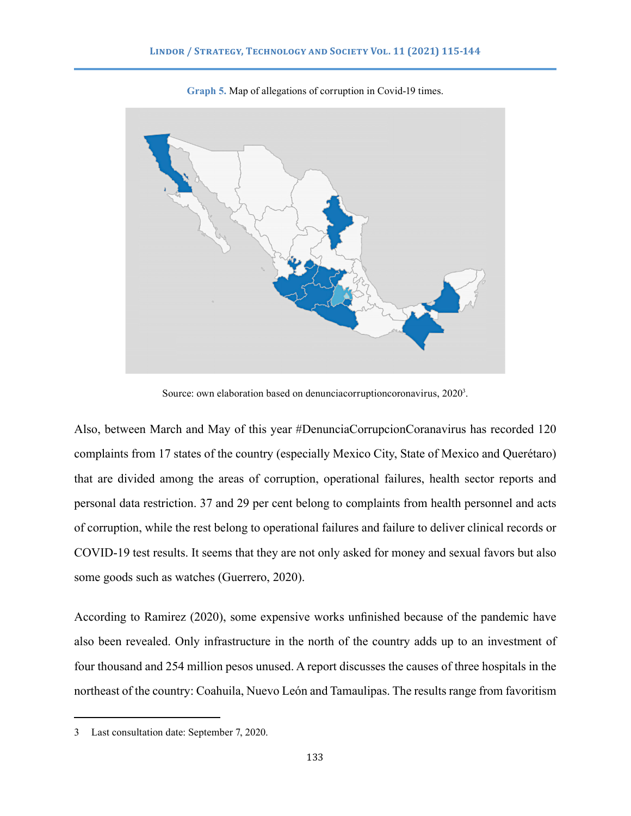

**Graph 5.** Map of allegations of corruption in Covid-19 times.

Source: own elaboration based on denunciacorruptioncoronavirus, 2020<sup>3</sup>.

Also, between March and May of this year #DenunciaCorrupcionCoranavirus has recorded 120 complaints from 17 states of the country (especially Mexico City, State of Mexico and Querétaro) that are divided among the areas of corruption, operational failures, health sector reports and personal data restriction. 37 and 29 per cent belong to complaints from health personnel and acts of corruption, while the rest belong to operational failures and failure to deliver clinical records or COVID-19 test results. It seems that they are not only asked for money and sexual favors but also some goods such as watches (Guerrero, 2020).

According to Ramirez (2020), some expensive works unfinished because of the pandemic have also been revealed. Only infrastructure in the north of the country adds up to an investment of four thousand and 254 million pesos unused. A report discusses the causes of three hospitals in the northeast of the country: Coahuila, Nuevo León and Tamaulipas. The results range from favoritism

<sup>3</sup> Last consultation date: September 7, 2020.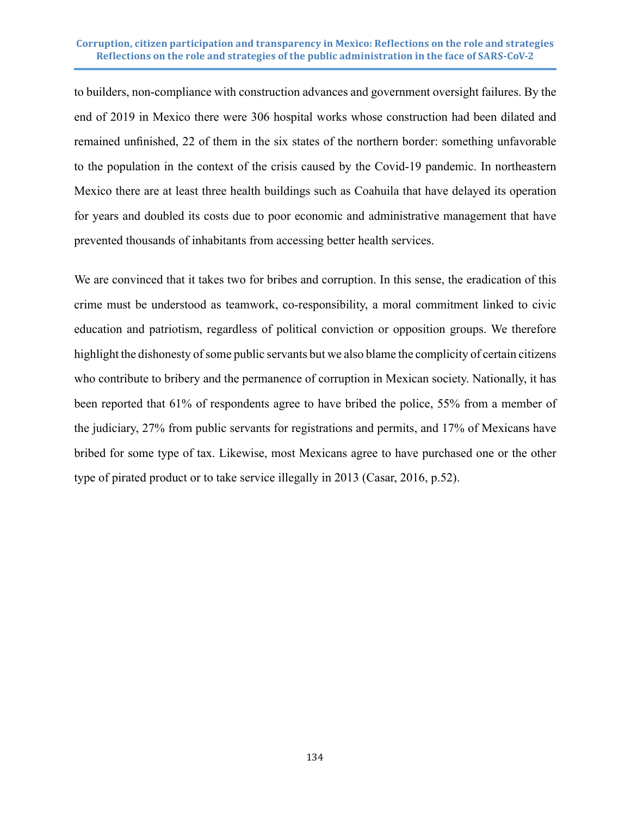to builders, non-compliance with construction advances and government oversight failures. By the end of 2019 in Mexico there were 306 hospital works whose construction had been dilated and remained unfinished, 22 of them in the six states of the northern border: something unfavorable to the population in the context of the crisis caused by the Covid-19 pandemic. In northeastern Mexico there are at least three health buildings such as Coahuila that have delayed its operation for years and doubled its costs due to poor economic and administrative management that have prevented thousands of inhabitants from accessing better health services.

We are convinced that it takes two for bribes and corruption. In this sense, the eradication of this crime must be understood as teamwork, co-responsibility, a moral commitment linked to civic education and patriotism, regardless of political conviction or opposition groups. We therefore highlight the dishonesty of some public servants but we also blame the complicity of certain citizens who contribute to bribery and the permanence of corruption in Mexican society. Nationally, it has been reported that 61% of respondents agree to have bribed the police, 55% from a member of the judiciary, 27% from public servants for registrations and permits, and 17% of Mexicans have bribed for some type of tax. Likewise, most Mexicans agree to have purchased one or the other type of pirated product or to take service illegally in 2013 (Casar, 2016, p.52).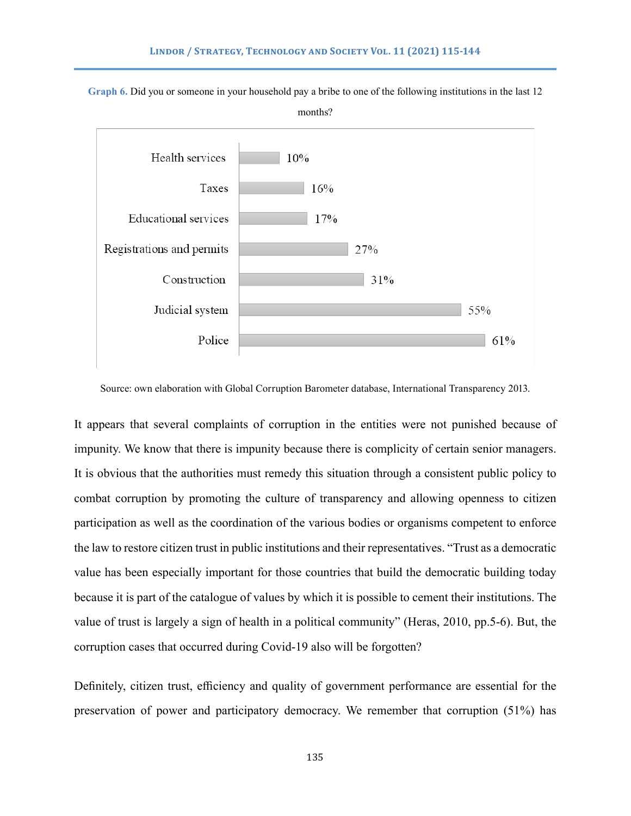

**Graph 6.** Did you or someone in your household pay a bribe to one of the following institutions in the last 12

Source: own elaboration with Global Corruption Barometer database, International Transparency 2013.

It appears that several complaints of corruption in the entities were not punished because of impunity. We know that there is impunity because there is complicity of certain senior managers. It is obvious that the authorities must remedy this situation through a consistent public policy to combat corruption by promoting the culture of transparency and allowing openness to citizen participation as well as the coordination of the various bodies or organisms competent to enforce the law to restore citizen trust in public institutions and their representatives. "Trust as a democratic value has been especially important for those countries that build the democratic building today because it is part of the catalogue of values by which it is possible to cement their institutions. The value of trust is largely a sign of health in a political community" (Heras, 2010, pp.5-6). But, the corruption cases that occurred during Covid-19 also will be forgotten?

Definitely, citizen trust, efficiency and quality of government performance are essential for the preservation of power and participatory democracy. We remember that corruption (51%) has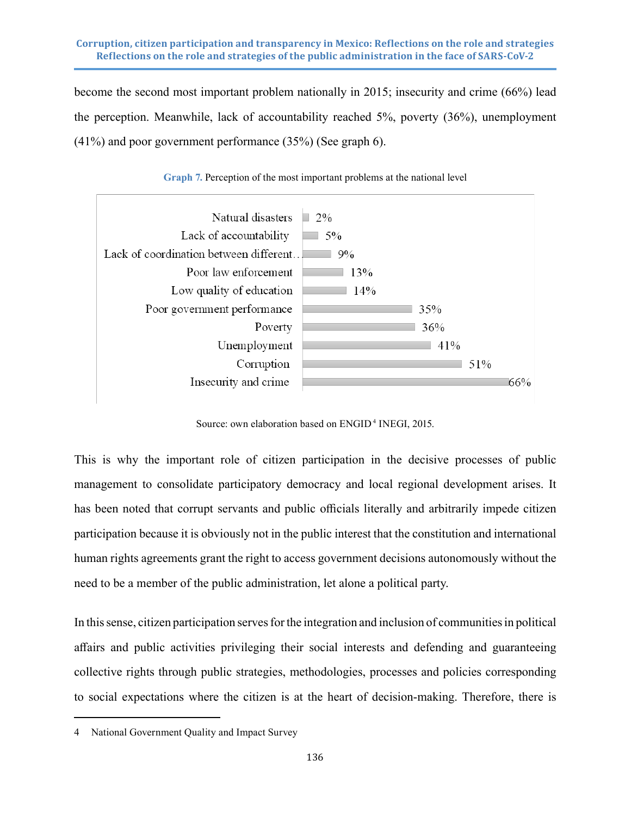become the second most important problem nationally in 2015; insecurity and crime (66%) lead the perception. Meanwhile, lack of accountability reached 5%, poverty (36%), unemployment (41%) and poor government performance (35%) (See graph 6).



**Graph 7.** Perception of the most important problems at the national level

Source: own elaboration based on ENGID<sup>4</sup> INEGI, 2015.

This is why the important role of citizen participation in the decisive processes of public management to consolidate participatory democracy and local regional development arises. It has been noted that corrupt servants and public officials literally and arbitrarily impede citizen participation because it is obviously not in the public interest that the constitution and international human rights agreements grant the right to access government decisions autonomously without the need to be a member of the public administration, let alone a political party.

In this sense, citizen participation serves for the integration and inclusion of communities in political affairs and public activities privileging their social interests and defending and guaranteeing collective rights through public strategies, methodologies, processes and policies corresponding to social expectations where the citizen is at the heart of decision-making. Therefore, there is

<sup>4</sup> National Government Quality and Impact Survey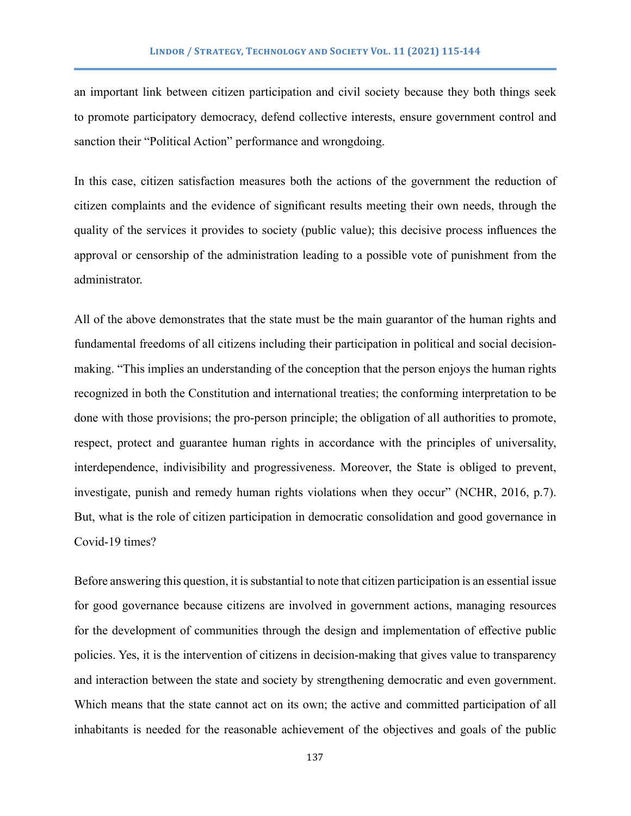an important link between citizen participation and civil society because they both things seek to promote participatory democracy, defend collective interests, ensure government control and sanction their "Political Action" performance and wrongdoing.

In this case, citizen satisfaction measures both the actions of the government the reduction of citizen complaints and the evidence of significant results meeting their own needs, through the quality of the services it provides to society (public value); this decisive process influences the approval or censorship of the administration leading to a possible vote of punishment from the administrator.

All of the above demonstrates that the state must be the main guarantor of the human rights and fundamental freedoms of all citizens including their participation in political and social decisionmaking. "This implies an understanding of the conception that the person enjoys the human rights recognized in both the Constitution and international treaties; the conforming interpretation to be done with those provisions; the pro-person principle; the obligation of all authorities to promote, respect, protect and guarantee human rights in accordance with the principles of universality, interdependence, indivisibility and progressiveness. Moreover, the State is obliged to prevent, investigate, punish and remedy human rights violations when they occur" (NCHR, 2016, p.7). But, what is the role of citizen participation in democratic consolidation and good governance in Covid-19 times?

Before answering this question, it is substantial to note that citizen participation is an essential issue for good governance because citizens are involved in government actions, managing resources for the development of communities through the design and implementation of effective public policies. Yes, it is the intervention of citizens in decision-making that gives value to transparency and interaction between the state and society by strengthening democratic and even government. Which means that the state cannot act on its own; the active and committed participation of all inhabitants is needed for the reasonable achievement of the objectives and goals of the public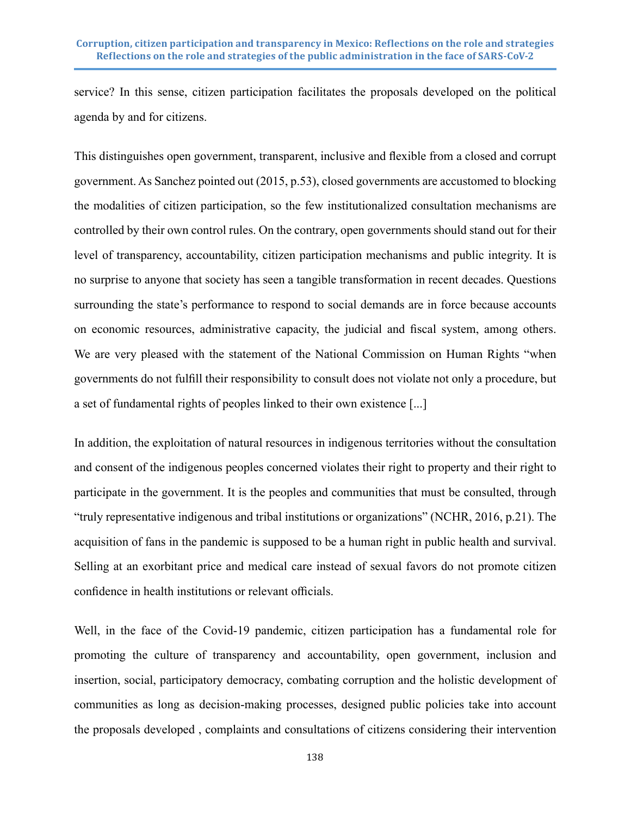service? In this sense, citizen participation facilitates the proposals developed on the political agenda by and for citizens.

This distinguishes open government, transparent, inclusive and flexible from a closed and corrupt government. As Sanchez pointed out (2015, p.53), closed governments are accustomed to blocking the modalities of citizen participation, so the few institutionalized consultation mechanisms are controlled by their own control rules. On the contrary, open governments should stand out for their level of transparency, accountability, citizen participation mechanisms and public integrity. It is no surprise to anyone that society has seen a tangible transformation in recent decades. Questions surrounding the state's performance to respond to social demands are in force because accounts on economic resources, administrative capacity, the judicial and fiscal system, among others. We are very pleased with the statement of the National Commission on Human Rights "when governments do not fulfill their responsibility to consult does not violate not only a procedure, but a set of fundamental rights of peoples linked to their own existence [...]

In addition, the exploitation of natural resources in indigenous territories without the consultation and consent of the indigenous peoples concerned violates their right to property and their right to participate in the government. It is the peoples and communities that must be consulted, through "truly representative indigenous and tribal institutions or organizations" (NCHR, 2016, p.21). The acquisition of fans in the pandemic is supposed to be a human right in public health and survival. Selling at an exorbitant price and medical care instead of sexual favors do not promote citizen confidence in health institutions or relevant officials.

Well, in the face of the Covid-19 pandemic, citizen participation has a fundamental role for promoting the culture of transparency and accountability, open government, inclusion and insertion, social, participatory democracy, combating corruption and the holistic development of communities as long as decision-making processes, designed public policies take into account the proposals developed , complaints and consultations of citizens considering their intervention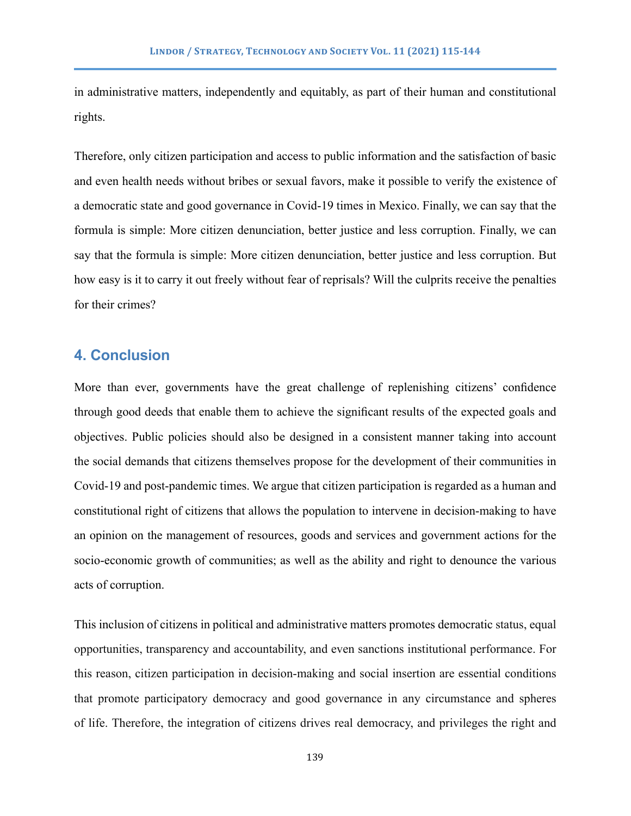in administrative matters, independently and equitably, as part of their human and constitutional rights.

Therefore, only citizen participation and access to public information and the satisfaction of basic and even health needs without bribes or sexual favors, make it possible to verify the existence of a democratic state and good governance in Covid-19 times in Mexico. Finally, we can say that the formula is simple: More citizen denunciation, better justice and less corruption. Finally, we can say that the formula is simple: More citizen denunciation, better justice and less corruption. But how easy is it to carry it out freely without fear of reprisals? Will the culprits receive the penalties for their crimes?

## **4. Conclusion**

More than ever, governments have the great challenge of replenishing citizens' confidence through good deeds that enable them to achieve the significant results of the expected goals and objectives. Public policies should also be designed in a consistent manner taking into account the social demands that citizens themselves propose for the development of their communities in Covid-19 and post-pandemic times. We argue that citizen participation is regarded as a human and constitutional right of citizens that allows the population to intervene in decision-making to have an opinion on the management of resources, goods and services and government actions for the socio-economic growth of communities; as well as the ability and right to denounce the various acts of corruption.

This inclusion of citizens in political and administrative matters promotes democratic status, equal opportunities, transparency and accountability, and even sanctions institutional performance. For this reason, citizen participation in decision-making and social insertion are essential conditions that promote participatory democracy and good governance in any circumstance and spheres of life. Therefore, the integration of citizens drives real democracy, and privileges the right and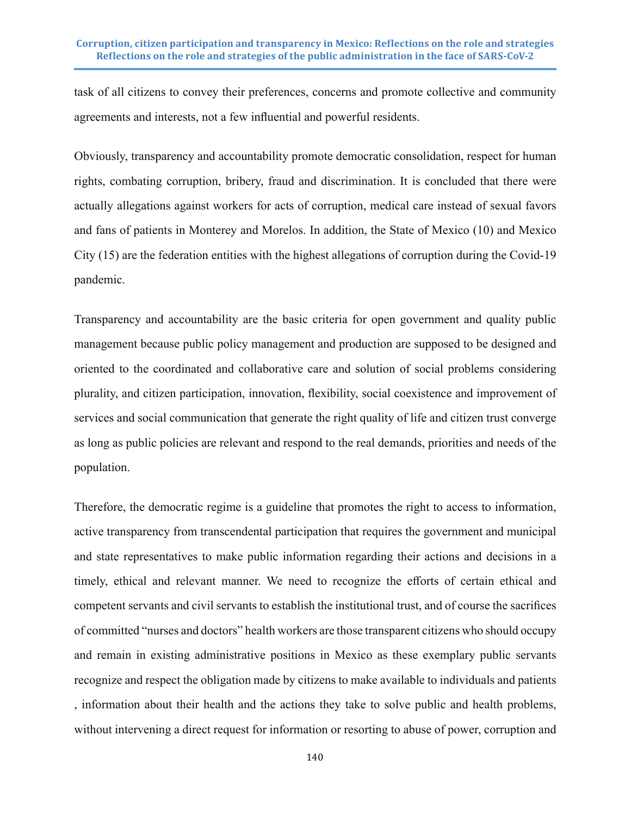task of all citizens to convey their preferences, concerns and promote collective and community agreements and interests, not a few influential and powerful residents.

Obviously, transparency and accountability promote democratic consolidation, respect for human rights, combating corruption, bribery, fraud and discrimination. It is concluded that there were actually allegations against workers for acts of corruption, medical care instead of sexual favors and fans of patients in Monterey and Morelos. In addition, the State of Mexico (10) and Mexico City (15) are the federation entities with the highest allegations of corruption during the Covid-19 pandemic.

Transparency and accountability are the basic criteria for open government and quality public management because public policy management and production are supposed to be designed and oriented to the coordinated and collaborative care and solution of social problems considering plurality, and citizen participation, innovation, flexibility, social coexistence and improvement of services and social communication that generate the right quality of life and citizen trust converge as long as public policies are relevant and respond to the real demands, priorities and needs of the population.

Therefore, the democratic regime is a guideline that promotes the right to access to information, active transparency from transcendental participation that requires the government and municipal and state representatives to make public information regarding their actions and decisions in a timely, ethical and relevant manner. We need to recognize the efforts of certain ethical and competent servants and civil servants to establish the institutional trust, and of course the sacrifices of committed "nurses and doctors" health workers are those transparent citizens who should occupy and remain in existing administrative positions in Mexico as these exemplary public servants recognize and respect the obligation made by citizens to make available to individuals and patients , information about their health and the actions they take to solve public and health problems, without intervening a direct request for information or resorting to abuse of power, corruption and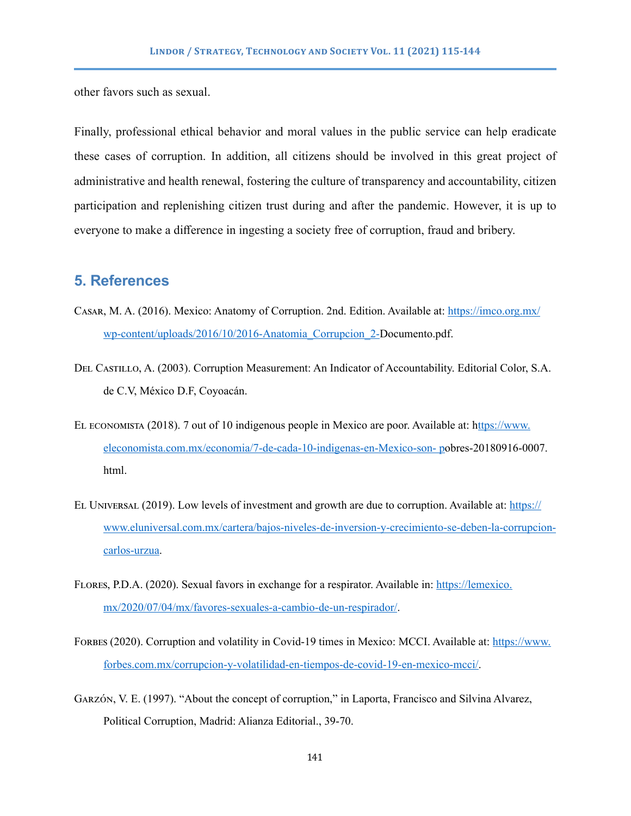other favors such as sexual.

Finally, professional ethical behavior and moral values in the public service can help eradicate these cases of corruption. In addition, all citizens should be involved in this great project of administrative and health renewal, fostering the culture of transparency and accountability, citizen participation and replenishing citizen trust during and after the pandemic. However, it is up to everyone to make a difference in ingesting a society free of corruption, fraud and bribery.

## **5. References**

- CASAR, M. A. (2016). Mexico: Anatomy of Corruption. 2nd. Edition. Available at: [https://imco.org.mx/](https://imco.org.mx/wp-content/uploads/2016/10/2016-Anatomia_Corrupcion_2-) [wp-content/uploads/2016/10/2016-Anatomia\\_Corrupcion\\_2-D](https://imco.org.mx/wp-content/uploads/2016/10/2016-Anatomia_Corrupcion_2-)ocumento.pdf.
- Del Castillo, A. (2003). Corruption Measurement: An Indicator of Accountability. Editorial Color, S.A. de C.V, México D.F, Coyoacán.
- El economista (2018). 7 out of 10 indigenous people in Mexico are poor. Available at: h[ttps://www.](ttps://www.eleconomista.com.mx/economia/7-de-cada-10-indigenas-en-Mexico-son-p) [eleconomista.com.mx/economia/7-de-cada-10-indigenas-en-Mexico-son- po](ttps://www.eleconomista.com.mx/economia/7-de-cada-10-indigenas-en-Mexico-son-p)bres-20180916-0007. html.
- EL UNIVERSAL (2019). Low levels of investment and growth are due to corruption. Available at: [https://](https://www.eluniversal.com.mx/cartera/bajos-niveles-de-inversion-y-crecimiento-se-deben-la-corrupcion-carlos-urzua) [www.eluniversal.com.mx/cartera/bajos-niveles-de-inversion-y-crecimiento-se-deben-la-corrupcion](https://www.eluniversal.com.mx/cartera/bajos-niveles-de-inversion-y-crecimiento-se-deben-la-corrupcion-carlos-urzua)[carlos-urzua.](https://www.eluniversal.com.mx/cartera/bajos-niveles-de-inversion-y-crecimiento-se-deben-la-corrupcion-carlos-urzua)
- Flores, P.D.A. (2020). Sexual favors in exchange for a respirator. Available in: [https://lemexico.](https://lemexico.mx/2020/07/04/mx/favores-sexuales-a-cambio-de-un-respirador/) [mx/2020/07/04/mx/favores-sexuales-a-cambio-de-un-respirador/.](https://lemexico.mx/2020/07/04/mx/favores-sexuales-a-cambio-de-un-respirador/)
- Forbes (2020). Corruption and volatility in Covid-19 times in Mexico: MCCI. Available at: [https://www.](https://www.forbes.com.mx/corrupcion-y-volatilidad-en-tiempos-de-covid-19-en-mexico-mcci/) [forbes.com.mx/corrupcion-y-volatilidad-en-tiempos-de-covid-19-en-mexico-mcci/](https://www.forbes.com.mx/corrupcion-y-volatilidad-en-tiempos-de-covid-19-en-mexico-mcci/).
- Garzón, V. E. (1997). "About the concept of corruption," in Laporta, Francisco and Silvina Alvarez, Political Corruption, Madrid: Alianza Editorial., 39-70.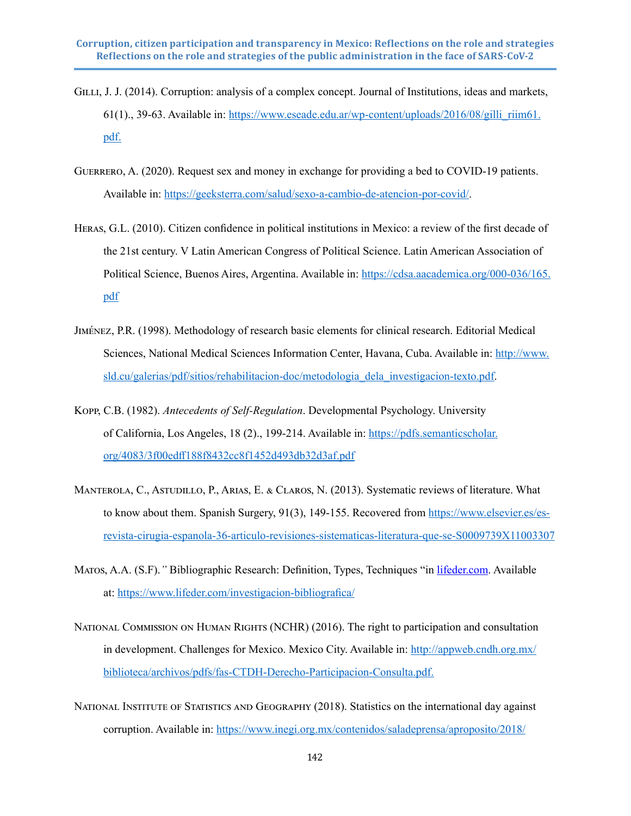- GILLI, J. J. (2014). Corruption: analysis of a complex concept. Journal of Institutions, ideas and markets, 61(1)., 39-63. Available in: https://www.eseade.edu.ar/wp-content/uploads/2016/08/gilli  $rim61$ . [pdf.](https://www.eseade.edu.ar/wp-content/uploads/2016/08/gilli_riim61.pdf.)
- Guerrero, A. (2020). Request sex and money in exchange for providing a bed to COVID-19 patients. Available in:<https://geeksterra.com/salud/sexo-a-cambio-de-atencion-por-covid/>.
- Heras, G.L. (2010). Citizen confidence in political institutions in Mexico: a review of the first decade of the 21st century. V Latin American Congress of Political Science. Latin American Association of Political Science, Buenos Aires, Argentina. Available in: [https://cdsa.aacademica.org/000-036/165.](https://cdsa.aacademica.org/000-036/165.pdf) [pdf](https://cdsa.aacademica.org/000-036/165.pdf)
- Jiménez, P.R. (1998). Methodology of research basic elements for clinical research. Editorial Medical Sciences, National Medical Sciences Information Center, Havana, Cuba. Available in: [http://www.](http://www.sld.cu/galerias/pdf/sitios/rehabilitacion-doc/metodologia_dela_investigacion-texto.pdf) [sld.cu/galerias/pdf/sitios/rehabilitacion-doc/metodologia\\_dela\\_investigacion-texto.pdf.](http://www.sld.cu/galerias/pdf/sitios/rehabilitacion-doc/metodologia_dela_investigacion-texto.pdf)
- Kopp, C.B. (1982). *Antecedents of Self-Regulation*. Developmental Psychology. University of California, Los Angeles, 18 (2)., 199-214. Available in: [https://pdfs.semanticscholar.](https://pdfs.semanticscholar.org/4083/3f00edff188f8432cc8f1452d493db32d3af.pdf) [org/4083/3f00edff188f8432cc8f1452d493db32d3af.pdf](https://pdfs.semanticscholar.org/4083/3f00edff188f8432cc8f1452d493db32d3af.pdf)
- Manterola, C., Astudillo, P., Arias, E. & Claros, N. (2013). Systematic reviews of literature. What to know about them. Spanish Surgery, 91(3), 149-155. Recovered from [https://www.elsevier.es/es](https://ssl.microsofttranslator.com/bv.aspx?ref=TVert&from=&to=en&a=https%3A%2F%2Fwww.elsevier.es%2Fes-revista-cirugia-espanola-36-articulo-revisiones-sistematicas-literatura-que-se-S0009739X11003307)[revista-cirugia-espanola-36-articulo-revisiones-sistematicas-literatura-que-se-S0009739X11003307](https://ssl.microsofttranslator.com/bv.aspx?ref=TVert&from=&to=en&a=https%3A%2F%2Fwww.elsevier.es%2Fes-revista-cirugia-espanola-36-articulo-revisiones-sistematicas-literatura-que-se-S0009739X11003307)
- Matos, A.A. (S.F).*"* Bibliographic Research: Definition, Types, Techniques "in [lifeder.com.](http://lifeder.com) Available at: [https://www.lifeder.com/investigacion-bibliografica/](https://ssl.microsofttranslator.com/bv.aspx?ref=TVert&from=&to=en&a=https%3A%2F%2Fwww.lifeder.com%2Finvestigacion-bibliografica%2F)
- NATIONAL COMMISSION ON HUMAN RIGHTS (NCHR) (2016). The right to participation and consultation in development. Challenges for Mexico. Mexico City. Available in: [http://appweb.cndh.org.mx/](https://ssl.microsofttranslator.com/bv.aspx?ref=TVert&from=&to=en&a=http%3A%2F%2Fappweb.cndh.org.mx%2Fbiblioteca%2Farchivos%2Fpdfs%2Ffas-CTDH-Derecho-Participacion-Consulta.pdf.) [biblioteca/archivos/pdfs/fas-CTDH-Derecho-Participacion-Consulta.pdf.](https://ssl.microsofttranslator.com/bv.aspx?ref=TVert&from=&to=en&a=http%3A%2F%2Fappweb.cndh.org.mx%2Fbiblioteca%2Farchivos%2Fpdfs%2Ffas-CTDH-Derecho-Participacion-Consulta.pdf.)
- NATIONAL INSTITUTE OF STATISTICS AND GEOGRAPHY (2018). Statistics on the international day against corruption. Available in: [https://www.inegi.org.mx/contenidos/saladeprensa/aproposito/2018/](https://www.inegi.org.mx/contenidos/saladeprensa/aproposito/2018/corrupcion2018Nal.pdf.)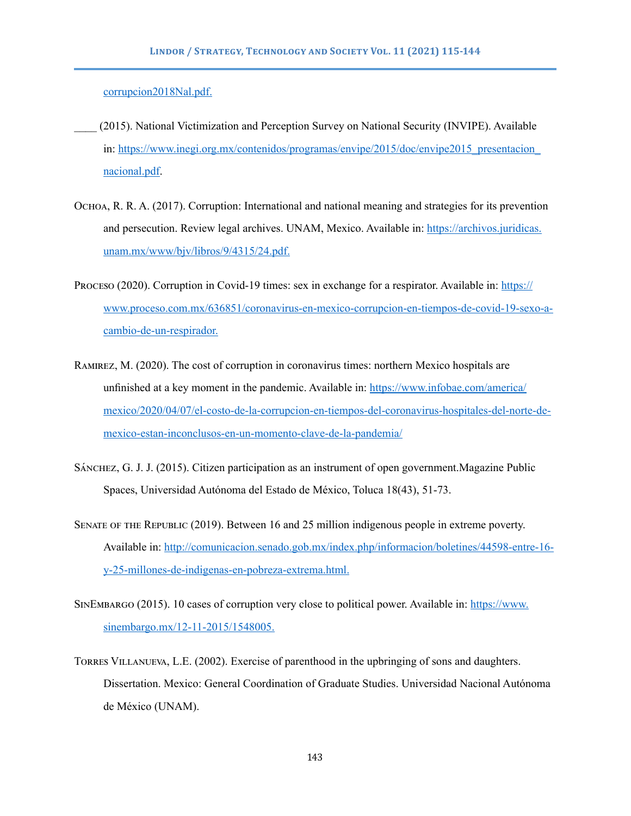[corrupcion2018Nal.pdf.](https://www.inegi.org.mx/contenidos/saladeprensa/aproposito/2018/corrupcion2018Nal.pdf.)

- \_\_\_\_ (2015). National Victimization and Perception Survey on National Security (INVIPE). Available in: https://www.inegi.org.mx/contenidos/programas/envipe/2015/doc/envipe2015 presentacion [nacional.pdf](https://www.inegi.org.mx/contenidos/programas/envipe/2015/doc/envipe2015_presentacion_nacional.pdf).
- Ochoa, R. R. A. (2017). Corruption: International and national meaning and strategies for its prevention and persecution. Review legal archives. UNAM, Mexico. Available in: [https://archivos.juridicas.](https://ssl.microsofttranslator.com/bv.aspx?ref=TVert&from=&to=en&a=https%3A%2F%2Farchivos.juridicas.unam.mx%2Fwww%2Fbjv%2Flibros%2F9%2F4315%2F24.pdf.) [unam.mx/www/bjv/libros/9/4315/24.pdf.](https://ssl.microsofttranslator.com/bv.aspx?ref=TVert&from=&to=en&a=https%3A%2F%2Farchivos.juridicas.unam.mx%2Fwww%2Fbjv%2Flibros%2F9%2F4315%2F24.pdf.)
- Proceso (2020). Corruption in Covid-19 times: sex in exchange for a respirator. Available in: [https://](https://www.proceso.com.mx/636851/coronavirus-en-mexico-corrupcion-en-tiempos-de-covid-19-sexo-a-cambio-de-un-respirador.) [www.proceso.com.mx/636851/coronavirus-en-mexico-corrupcion-en-tiempos-de-covid-19-sexo-a](https://www.proceso.com.mx/636851/coronavirus-en-mexico-corrupcion-en-tiempos-de-covid-19-sexo-a-cambio-de-un-respirador.)[cambio-de-un-respirador.](https://www.proceso.com.mx/636851/coronavirus-en-mexico-corrupcion-en-tiempos-de-covid-19-sexo-a-cambio-de-un-respirador.)
- Ramirez, M. (2020). The cost of corruption in coronavirus times: northern Mexico hospitals are unfinished at a key moment in the pandemic. Available in: [https://www.infobae.com/america/](https://www.infobae.com/america/mexico/2020/04/07/el-costo-de-la-corrupcion-en-tiempos-del-coronavirus-hospitales-del-norte-de-mexico-estan-inconclusos-en-un-momento-clave-de-la-pandemia/) [mexico/2020/04/07/el-costo-de-la-corrupcion-en-tiempos-del-coronavirus-hospitales-del-norte-de](https://www.infobae.com/america/mexico/2020/04/07/el-costo-de-la-corrupcion-en-tiempos-del-coronavirus-hospitales-del-norte-de-mexico-estan-inconclusos-en-un-momento-clave-de-la-pandemia/)[mexico-estan-inconclusos-en-un-momento-clave-de-la-pandemia/](https://www.infobae.com/america/mexico/2020/04/07/el-costo-de-la-corrupcion-en-tiempos-del-coronavirus-hospitales-del-norte-de-mexico-estan-inconclusos-en-un-momento-clave-de-la-pandemia/)
- Sánchez, G. J. J. (2015). Citizen participation as an instrument of open government.Magazine Public Spaces, Universidad Autónoma del Estado de México, Toluca 18(43), 51-73.
- Senate of the Republic (2019). Between 16 and 25 million indigenous people in extreme poverty. Available in: [http://comunicacion.senado.gob.mx/index.php/informacion/boletines/44598-entre-16](https://ssl.microsofttranslator.com/bv.aspx?ref=TVert&from=&to=en&a=http%3A%2F%2Fcomunicacion.senado.gob.mx%2Findex.php%2Finformacion%2Fboletines%2F44598-entre-16-y-25-millones-de-indigenas-en-pobreza-extrema.html.) [y-25-millones-de-indigenas-en-pobreza-extrema.html.](https://ssl.microsofttranslator.com/bv.aspx?ref=TVert&from=&to=en&a=http%3A%2F%2Fcomunicacion.senado.gob.mx%2Findex.php%2Finformacion%2Fboletines%2F44598-entre-16-y-25-millones-de-indigenas-en-pobreza-extrema.html.)
- SinEmbargo (2015). 10 cases of corruption very close to political power. Available in: [https://www.](https://ssl.microsofttranslator.com/bv.aspx?ref=TVert&from=&to=en&a=https%3A%2F%2Fwww.sinembargo.mx%2F12-11-2015%2F1548005.) [sinembargo.mx/12-11-2015/1548005.](https://ssl.microsofttranslator.com/bv.aspx?ref=TVert&from=&to=en&a=https%3A%2F%2Fwww.sinembargo.mx%2F12-11-2015%2F1548005.)
- Torres Villanueva, L.E. (2002). Exercise of parenthood in the upbringing of sons and daughters. Dissertation. Mexico: General Coordination of Graduate Studies. Universidad Nacional Autónoma de México (UNAM).